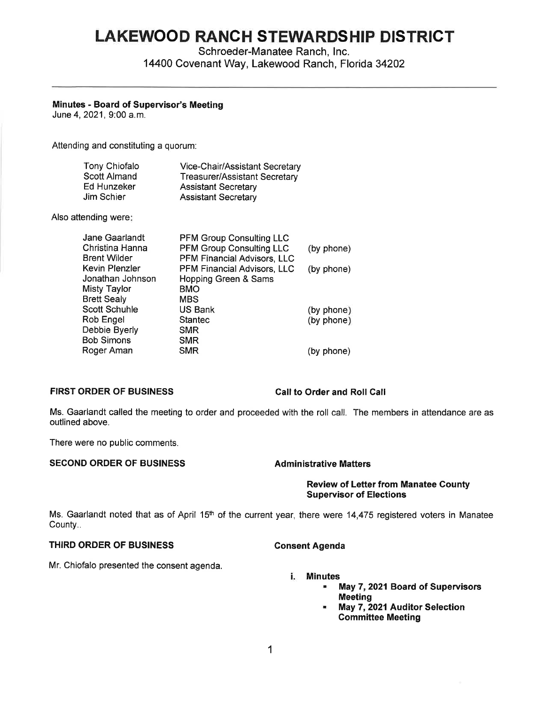# **LAKEWOOD RANCH STEWARDSHIP DISTRICT**

Schroeder-Manatee Ranch, Inc. 14400 Covenant Way, Lakewood Ranch, Florida 34202

# **Minutes** - **Board of Supervisor's Meeting**

June 4, 2021, 9:00 a.m.

Attending and constituting a quorum:

| Tony Chiofalo | Vice-Chair/Assistant Secretary       |
|---------------|--------------------------------------|
| Scott Almand  | <b>Treasurer/Assistant Secretary</b> |
| Ed Hunzeker   | <b>Assistant Secretary</b>           |
| Jim Schier    | <b>Assistant Secretary</b>           |

Also attending were:

| Jane Gaarlandt     | <b>PFM Group Consulting LLC</b> |            |
|--------------------|---------------------------------|------------|
| Christina Hanna    | PFM Group Consulting LLC        | (by phone) |
| Brent Wilder       | PFM Financial Advisors, LLC     |            |
| Kevin Plenzler     | PFM Financial Advisors, LLC     | (by phone) |
| Jonathan Johnson   | Hopping Green & Sams            |            |
| Misty Taylor       | <b>BMO</b>                      |            |
| <b>Brett Sealy</b> | <b>MBS</b>                      |            |
| Scott Schuhle      | <b>US Bank</b>                  | (by phone) |
| Rob Engel          | <b>Stantec</b>                  | (by phone) |
| Debbie Byerly      | <b>SMR</b>                      |            |
| <b>Bob Simons</b>  | <b>SMR</b>                      |            |
| Roger Aman         | <b>SMR</b>                      | (by phone) |
|                    |                                 |            |

# **FIRST ORDER OF BUSINESS Call to Order and Roll Call**

Ms. Gaarlandt called the meeting to order and proceeded with the roll call. The members in attendance are as outlined above.

There were no public comments.

# **SECOND ORDER OF BUSINESS Administrative Matters**

**Review of Letter from Manatee County Supervisor of Elections** 

Ms. Gaarlandt noted that as of April 15<sup>th</sup> of the current year, there were 14,475 registered voters in Manatee County..

# **THIRD ORDER OF BUSINESS Consent Agenda**

Mr. Chiofalo presented the consent agenda.

# i. **Minutes**

- May 7, **2021 Board of Supervisors Meeting**
- May 7, **2021 Auditor Selection Committee Meeting**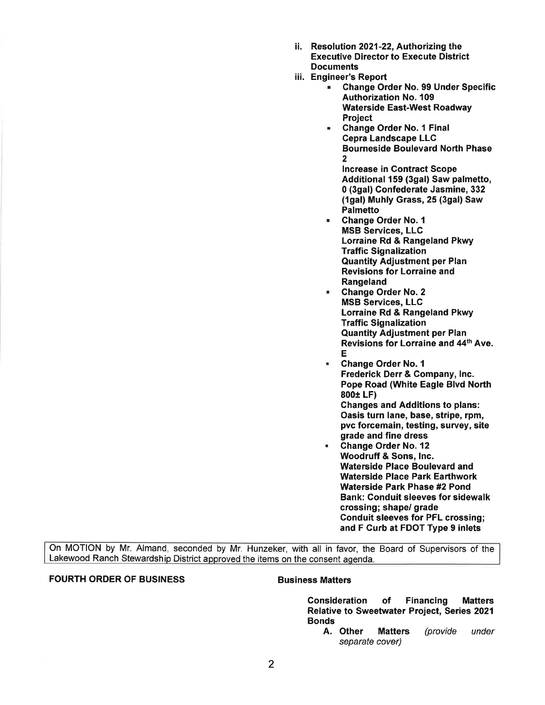- ii. Resolution 2021-22, Authorizing the Executive Director to Execute District **Documents**
- iii. Engineer's Report
	- Change Order No. 99 Under Specific Authorization No. 109 Waterside East-West Roadway Project
	- Change Order No. 1 Final Cepra Landscape LLC Bourneside Boulevard North Phase  $\overline{2}$

Increase in Contract Scope Additional 159 (3gal) Saw palmetto, O (3gal) Confederate Jasmine, 332 (1gal) Muhly Grass, 25 (3gal) Saw Palmetto

- Change Order No. 1 MSB Services, LLC Lorraine Rd & Rangeland Pkwy Traffic Signalization Quantity Adjustment per Plan Revisions for Lorraine and **Rangeland**
- **Change Order No. 2** MSB Services, LLC Lorraine Rd & Rangeland Pkwy Traffic Signalization Quantity Adjustment per Plan Revisions for Lorraine and 44th Ave. E
- Change Order No. 1 Frederick Derr & Company, Inc. Pope Road (White Eagle Blvd North **800±** LF) Changes and Additions to plans: Oasis turn lane, base, stripe, rpm, pvc forcemain, testing, survey, site grade and fine dress
- Change Order No. 12 Woodruff & Sons, Inc. Waterside Place Boulevard and Waterside Place Park Earthwork Waterside Park Phase #2 Pond Bank: Conduit sleeves for sidewalk crossing; shape/ grade Conduit sleeves for PFL crossing; and F Curb at FDOT Type 9 inlets

On MOTION by Mr. Almand, seconded by Mr. Hunzeker, with all in favor, the Board of Supervisors of the Lakewood Ranch Stewardship District approved the items on the consent agenda.

# **FOURTH ORDER OF BUSINESS**  Business Matters

Consideration of Financing Matters Relative to Sweetwater Project, Series 2021 Bonds

A. Other Matters (provide under separate cover)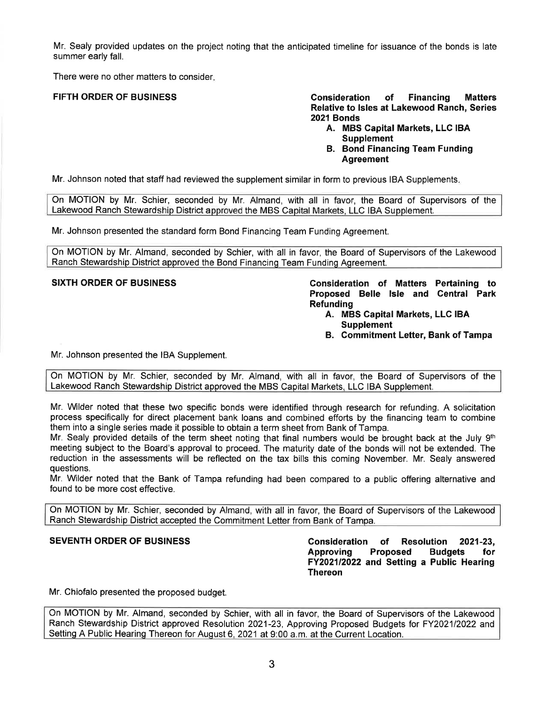Mr. Sealy provided updates on the project noting that the anticipated timeline for issuance of the bonds is late summer early fall.

There were no other matters to consider.

**FIFTH ORDER OF BUSINESS Consideration of Financing Matters Relative to Isles at Lakewood Ranch, Series 2021 Bonds** 

- **A. MBS Capital Markets, LLC IBA Supplement**
- **B. Bond Financing Team Funding Agreement**

Mr. Johnson noted that staff had reviewed the supplement similar in form to previous IBA Supplements.

On MOTION by Mr. Schier, seconded by Mr. Almand, with all in favor, the Board of Supervisors of the Lakewood Ranch Stewardship District approved the MBS Capital Markets, LLC IBA Supplement.

Mr. Johnson presented the standard form Bond Financing Team Funding Agreement.

On MOTION by Mr. Almand, seconded by Schier, with all in favor, the Board of Supervisors of the Lakewood Ranch Stewardship District approved the Bond Financing Team Funding Agreement.

**SIXTH ORDER OF BUSINESS Consideration of Matters Pertaining to Proposed Belle Isle and Central Park Refunding** 

- **A. MBS Capital Markets, LLC IBA Supplement**
- **B. Commitment Letter, Bank of Tampa**

Mr. Johnson presented the IBA Supplement.

On MOTION by Mr. Schier, seconded by Mr. Almand, with all in favor, the Board of Supervisors of the Lakewood Ranch Stewardship District approved the MBS Capital Markets, LLC IBA Supplement.

Mr. Wilder noted that these two specific bonds were identified through research for refunding. A solicitation process specifically for direct placement bank loans and combined efforts by the financing team to combine them into a single series made it possible to obtain a term sheet from Bank of Tampa.

Mr. Sealy provided details of the term sheet noting that final numbers would be brought back at the July  $9<sup>th</sup>$ meeting subject to the Board's approval to proceed. The maturity date of the bonds will not be extended. The reduction in the assessments will be reflected on the tax bills this coming November. Mr. Sealy answered questions.

Mr. Wilder noted that the Bank of Tampa refunding had been compared to a public offering alternative and found to be more cost effective.

On MOTION by Mr. Schier, seconded by Almand, with all in favor, the Board of Supervisors of the Lakewood Ranch Stewardship District accepted the Commitment Letter from Bank of Tampa.

**SEVENTH ORDER OF BUSINESS Consideration of Resolution 2021-23, Approving Proposed Budgets for FY2021/2022 and Setting a Public Hearing Thereon** 

Mr. Chiofalo presented the proposed budget.

On MOTION by Mr. Almand, seconded by Schier, with all in favor, the Board of Supervisors of the Lakewood Ranch Stewardship District approved Resolution 2021-23, Approving Proposed Budgets for FY2021/2022 and Setting A Public Hearing Thereon for August 6, 2021 at 9:00 a.m. at the Current Location.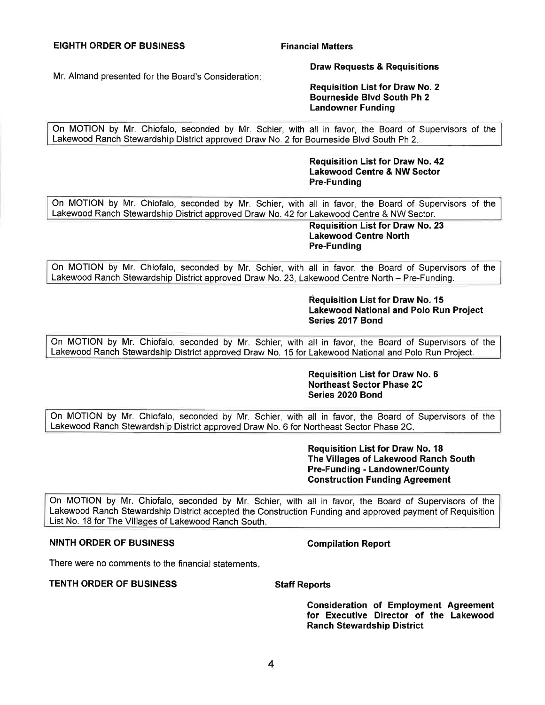# **EIGHTH ORDER OF BUSINESS Financial Matters**

Mr. Almand presented for the Board's Consideration:

### **Draw Requests & Requisitions**

**Requisition List for Draw No. 2 Bourneside Blvd South Ph 2 Landowner Funding** 

On MOTION by Mr. Chiofalo, seconded by Mr. Schier, with all in favor, the Board of Supervisors of the Lakewood Ranch Stewardship District approved Draw No. 2 for Bourneside Blvd South Ph 2.

> **Requisition List for Draw No. 42 Lakewood Centre & NW Sector Pre-Funding**

On MOTION by Mr. Chiofalo, seconded by Mr. Schier, with all in favor, the Board of Supervisors of the Lakewood Ranch Stewardship District approved Draw No. 42 for Lakewood Centre & NW Sector.

> **Requisition List for Draw No. 23 Lakewood Centre North Pre-Funding**

On MOTION by Mr. Chiofalo, seconded by Mr. Schier, with all in favor, the Board of Supervisors of the Lakewood Ranch Stewardship District approved Draw No. 23, Lakewood Centre North - Pre-Funding.

> **Requisition List for Draw No. 15 Lakewood National and Polo Run Project Series 2017 Bond**

On MOTION by Mr. Chiofalo, seconded by Mr. Schier, with all in favor, the Board of Supervisors of the Lakewood Ranch Stewardship District approved Draw No. 15 for Lakewood National and Polo Run Project.

# **Requisition List for Draw No. 6 Northeast Sector Phase 2C Series 2020 Bond**

On MOTION by Mr. Chiofalo, seconded by Mr. Schier, with all in favor, the Board of Supervisors of the Lakewood Ranch Stewardship District approved Draw No. 6 for Northeast Sector Phase 2C.

> **Requisition List for Draw No. 18 The Villages of Lakewood Ranch South Pre-Funding - Landowner/County Construction Funding Agreement**

On MOTION by Mr. Chiofalo, seconded by Mr. Schier, with all in favor, the Board of Supervisors of the Lakewood Ranch Stewardship District accepted the Construction Funding and approved payment of Requisition List No. 18 for The Villages of Lakewood Ranch South.

# **NINTH ORDER OF BUSINESS Compilation Report**

There were no comments to the financial statements.

### **TENTH ORDER OF BUSINESS Staff Reports**

**Consideration of Employment Agreement for Executive Director of the Lakewood Ranch Stewardship District**